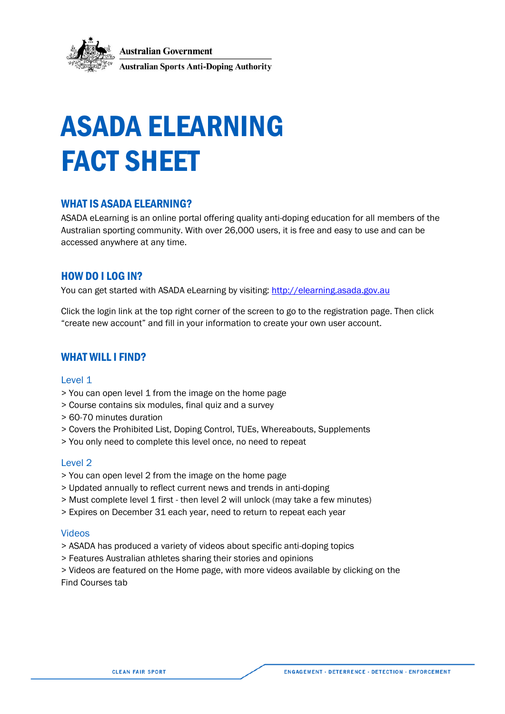

# ASADA ELEARNING FACT SHEET

# WHAT IS ASADA ELEARNING?

ASADA eLearning is an online portal offering quality anti-doping education for all members of the Australian sporting community. With over 26,000 users, it is free and easy to use and can be accessed anywhere at any time.

# HOW DO I LOG IN?

You can get started with ASADA eLearning by visiting: [http://elearning.asada.gov.au](http://elearning.asada.gov.au/)

Click the login link at the top right corner of the screen to go to the registration page. Then click "create new account" and fill in your information to create your own user account.

## WHAT WILL I FIND?

## Level 1

- > You can open level 1 from the image on the home page
- > Course contains six modules, final quiz and a survey
- > 60-70 minutes duration
- > Covers the Prohibited List, Doping Control, TUEs, Whereabouts, Supplements
- > You only need to complete this level once, no need to repeat

## Level 2

- > You can open level 2 from the image on the home page
- > Updated annually to reflect current news and trends in anti-doping
- > Must complete level 1 first then level 2 will unlock (may take a few minutes)
- > Expires on December 31 each year, need to return to repeat each year

## Videos

- > ASADA has produced a variety of videos about specific anti-doping topics
- > Features Australian athletes sharing their stories and opinions

> Videos are featured on the Home page, with more videos available by clicking on the Find Courses tab